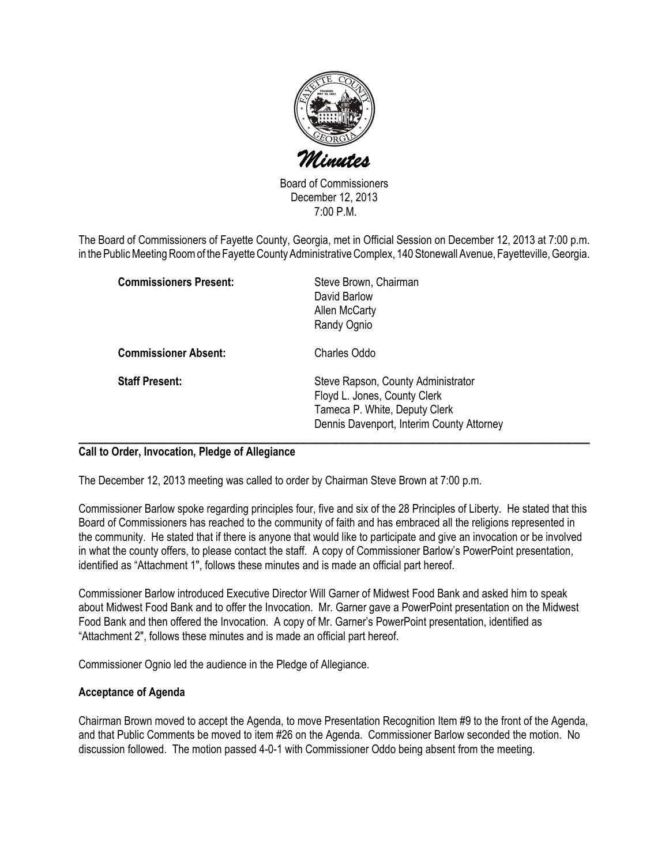

Board of Commissioners December 12, 2013 7:00 P.M.

The Board of Commissioners of Fayette County, Georgia, met in Official Session on December 12, 2013 at 7:00 p.m. in the Public Meeting Room of the Fayette County Administrative Complex, 140 Stonewall Avenue, Fayetteville, Georgia.

| <b>Commissioners Present:</b> | Steve Brown, Chairman<br>David Barlow<br>Allen McCarty<br>Randy Ognio                                                                            |
|-------------------------------|--------------------------------------------------------------------------------------------------------------------------------------------------|
| <b>Commissioner Absent:</b>   | Charles Oddo                                                                                                                                     |
| <b>Staff Present:</b>         | Steve Rapson, County Administrator<br>Floyd L. Jones, County Clerk<br>Tameca P. White, Deputy Clerk<br>Dennis Davenport, Interim County Attorney |

## Call to Order, Invocation, Pledge of Allegiance

The December 12, 2013 meeting was called to order by Chairman Steve Brown at 7:00 p.m.

Commissioner Barlow spoke regarding principles four, five and six of the 28 Principles of Liberty. He stated that this Board of Commissioners has reached to the community of faith and has embraced all the religions represented in the community. He stated that if there is anyone that would like to participate and give an invocation or be involved in what the county offers, to please contact the staff. A copy of Commissioner Barlow's PowerPoint presentation, identified as "Attachment 1", follows these minutes and is made an official part hereof.

Commissioner Barlow introduced Executive Director Will Garner of Midwest Food Bank and asked him to speak about Midwest Food Bank and to offer the Invocation. Mr. Garner gave a PowerPoint presentation on the Midwest Food Bank and then offered the Invocation. A copy of Mr. Garner's PowerPoint presentation, identified as "Attachment 2", follows these minutes and is made an official part hereof.

Commissioner Ognio led the audience in the Pledge of Allegiance.

### Acceptance of Agenda

Chairman Brown moved to accept the Agenda, to move Presentation Recognition Item #9 to the front of the Agenda, and that Public Comments be moved to item #26 on the Agenda. Commissioner Barlow seconded the motion. No discussion followed. The motion passed 4-0-1 with Commissioner Oddo being absent from the meeting.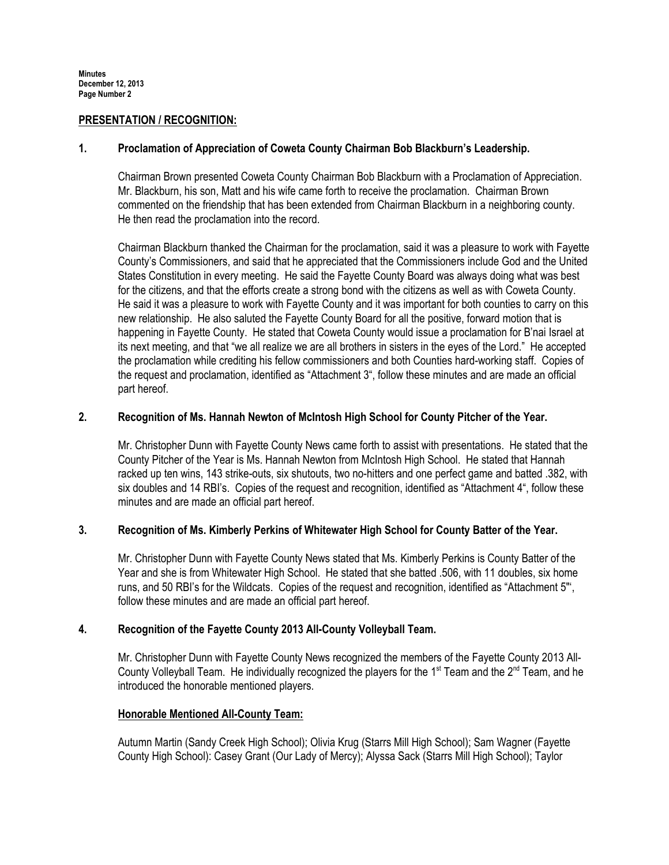## PRESENTATION / RECOGNITION:

## 1. Proclamation of Appreciation of Coweta County Chairman Bob Blackburn's Leadership.

Chairman Brown presented Coweta County Chairman Bob Blackburn with a Proclamation of Appreciation. Mr. Blackburn, his son, Matt and his wife came forth to receive the proclamation. Chairman Brown commented on the friendship that has been extended from Chairman Blackburn in a neighboring county. He then read the proclamation into the record.

Chairman Blackburn thanked the Chairman for the proclamation, said it was a pleasure to work with Fayette County's Commissioners, and said that he appreciated that the Commissioners include God and the United States Constitution in every meeting. He said the Fayette County Board was always doing what was best for the citizens, and that the efforts create a strong bond with the citizens as well as with Coweta County. He said it was a pleasure to work with Fayette County and it was important for both counties to carry on this new relationship. He also saluted the Fayette County Board for all the positive, forward motion that is happening in Fayette County. He stated that Coweta County would issue a proclamation for B'nai Israel at its next meeting, and that "we all realize we are all brothers in sisters in the eyes of the Lord." He accepted the proclamation while crediting his fellow commissioners and both Counties hard-working staff. Copies of the request and proclamation, identified as "Attachment 3", follow these minutes and are made an official part hereof.

# 2. Recognition of Ms. Hannah Newton of McIntosh High School for County Pitcher of the Year.

Mr. Christopher Dunn with Fayette County News came forth to assist with presentations. He stated that the County Pitcher of the Year is Ms. Hannah Newton from McIntosh High School. He stated that Hannah racked up ten wins, 143 strike-outs, six shutouts, two no-hitters and one perfect game and batted .382, with six doubles and 14 RBI's. Copies of the request and recognition, identified as "Attachment 4", follow these minutes and are made an official part hereof.

## 3. Recognition of Ms. Kimberly Perkins of Whitewater High School for County Batter of the Year.

Mr. Christopher Dunn with Fayette County News stated that Ms. Kimberly Perkins is County Batter of the Year and she is from Whitewater High School. He stated that she batted .506, with 11 doubles, six home runs, and 50 RBI's for the Wildcats. Copies of the request and recognition, identified as "Attachment 5"', follow these minutes and are made an official part hereof.

# 4. Recognition of the Fayette County 2013 All-County Volleyball Team.

Mr. Christopher Dunn with Fayette County News recognized the members of the Fayette County 2013 All-County Volleyball Team. He individually recognized the players for the 1<sup>st</sup> Team and the 2<sup>nd</sup> Team, and he introduced the honorable mentioned players.

# Honorable Mentioned All-County Team:

Autumn Martin (Sandy Creek High School); Olivia Krug (Starrs Mill High School); Sam Wagner (Fayette County High School): Casey Grant (Our Lady of Mercy); Alyssa Sack (Starrs Mill High School); Taylor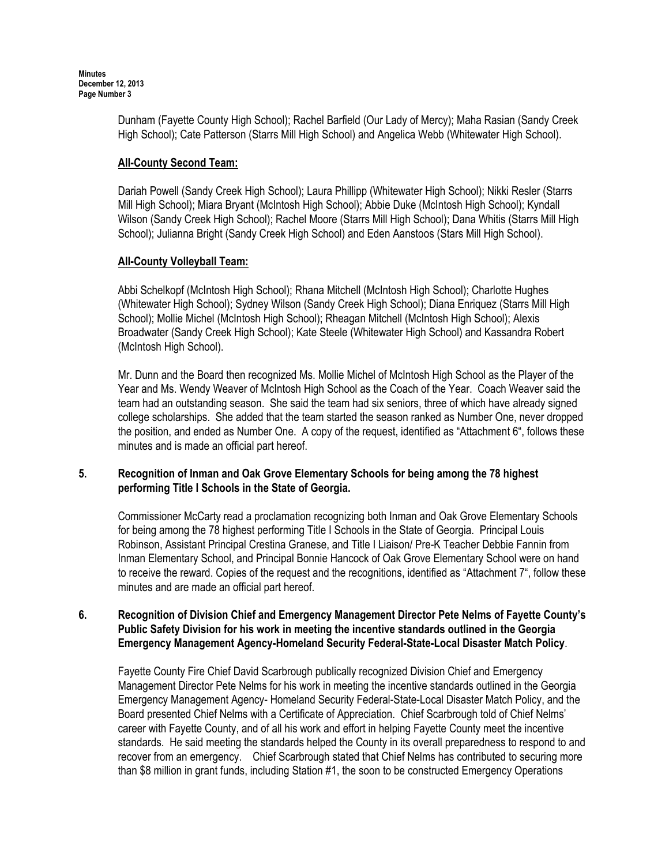> Dunham (Fayette County High School); Rachel Barfield (Our Lady of Mercy); Maha Rasian (Sandy Creek High School); Cate Patterson (Starrs Mill High School) and Angelica Webb (Whitewater High School).

## All-County Second Team:

Dariah Powell (Sandy Creek High School); Laura Phillipp (Whitewater High School); Nikki Resler (Starrs Mill High School); Miara Bryant (McIntosh High School); Abbie Duke (McIntosh High School); Kyndall Wilson (Sandy Creek High School); Rachel Moore (Starrs Mill High School); Dana Whitis (Starrs Mill High School); Julianna Bright (Sandy Creek High School) and Eden Aanstoos (Stars Mill High School).

# All-County Volleyball Team:

Abbi Schelkopf (McIntosh High School); Rhana Mitchell (McIntosh High School); Charlotte Hughes (Whitewater High School); Sydney Wilson (Sandy Creek High School); Diana Enriquez (Starrs Mill High School); Mollie Michel (McIntosh High School); Rheagan Mitchell (McIntosh High School); Alexis Broadwater (Sandy Creek High School); Kate Steele (Whitewater High School) and Kassandra Robert (McIntosh High School).

Mr. Dunn and the Board then recognized Ms. Mollie Michel of McIntosh High School as the Player of the Year and Ms. Wendy Weaver of McIntosh High School as the Coach of the Year. Coach Weaver said the team had an outstanding season. She said the team had six seniors, three of which have already signed college scholarships. She added that the team started the season ranked as Number One, never dropped the position, and ended as Number One. A copy of the request, identified as "Attachment 6", follows these minutes and is made an official part hereof.

# 5. Recognition of Inman and Oak Grove Elementary Schools for being among the 78 highest performing Title I Schools in the State of Georgia.

Commissioner McCarty read a proclamation recognizing both Inman and Oak Grove Elementary Schools for being among the 78 highest performing Title I Schools in the State of Georgia. Principal Louis Robinson, Assistant Principal Crestina Granese, and Title I Liaison/ Pre-K Teacher Debbie Fannin from Inman Elementary School, and Principal Bonnie Hancock of Oak Grove Elementary School were on hand to receive the reward. Copies of the request and the recognitions, identified as "Attachment 7", follow these minutes and are made an official part hereof.

# 6. Recognition of Division Chief and Emergency Management Director Pete Nelms of Fayette County's Public Safety Division for his work in meeting the incentive standards outlined in the Georgia Emergency Management Agency-Homeland Security Federal-State-Local Disaster Match Policy.

Fayette County Fire Chief David Scarbrough publically recognized Division Chief and Emergency Management Director Pete Nelms for his work in meeting the incentive standards outlined in the Georgia Emergency Management Agency- Homeland Security Federal-State-Local Disaster Match Policy, and the Board presented Chief Nelms with a Certificate of Appreciation. Chief Scarbrough told of Chief Nelms' career with Fayette County, and of all his work and effort in helping Fayette County meet the incentive standards. He said meeting the standards helped the County in its overall preparedness to respond to and recover from an emergency. Chief Scarbrough stated that Chief Nelms has contributed to securing more than \$8 million in grant funds, including Station #1, the soon to be constructed Emergency Operations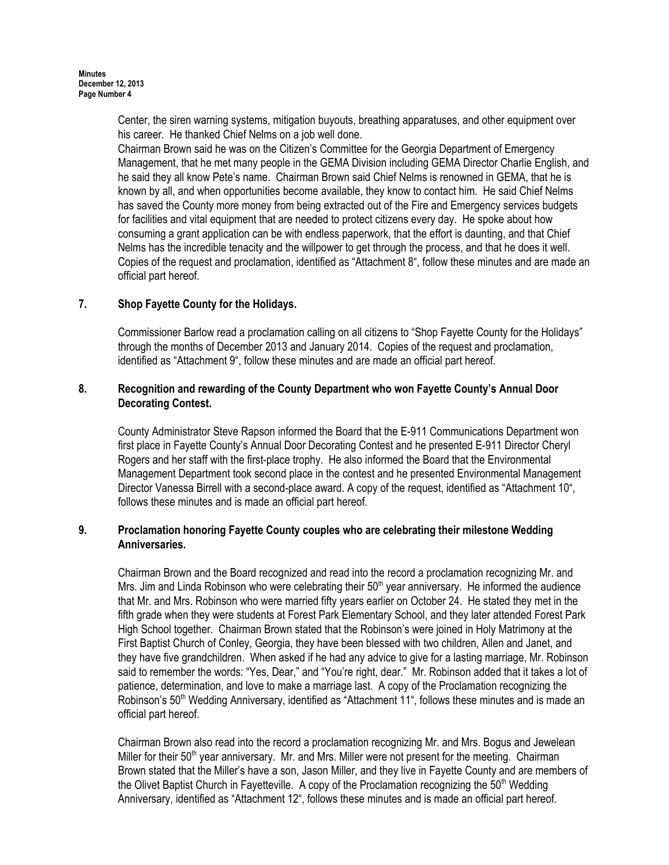Center, the siren warning systems, mitigation buyouts, breathing apparatuses, and other equipment over his career. He thanked Chief Nelms on a job well done.

Chairman Brown said he was on the Citizen's Committee for the Georgia Department of Emergency Management, that he met many people in the GEMA Division including GEMA Director Charlie English, and he said they all know Pete's name. Chairman Brown said Chief Nelms is renowned in GEMA, that he is known by all, and when opportunities become available, they know to contact him. He said Chief Nelms has saved the County more money from being extracted out of the Fire and Emergency services budgets for facilities and vital equipment that are needed to protect citizens every day. He spoke about how consuming a grant application can be with endless paperwork, that the effort is daunting, and that Chief Nelms has the incredible tenacity and the willpower to get through the process, and that he does it well. Copies of the request and proclamation, identified as "Attachment 8", follow these minutes and are made an official part hereof.

# 7. Shop Fayette County for the Holidays.

Commissioner Barlow read a proclamation calling on all citizens to "Shop Fayette County for the Holidays" through the months of December 2013 and January 2014. Copies of the request and proclamation, identified as "Attachment 9", follow these minutes and are made an official part hereof.

# 8. Recognition and rewarding of the County Department who won Fayette County's Annual Door Decorating Contest.

County Administrator Steve Rapson informed the Board that the E-911 Communications Department won first place in Fayette County's Annual Door Decorating Contest and he presented E-911 Director Cheryl Rogers and her staff with the first-place trophy. He also informed the Board that the Environmental Management Department took second place in the contest and he presented Environmental Management Director Vanessa Birrell with a second-place award. A copy of the request, identified as "Attachment 10", follows these minutes and is made an official part hereof.

# 9. Proclamation honoring Fayette County couples who are celebrating their milestone Wedding Anniversaries.

Chairman Brown and the Board recognized and read into the record a proclamation recognizing Mr. and Mrs. Jim and Linda Robinson who were celebrating their  $50<sup>th</sup>$  year anniversary. He informed the audience that Mr. and Mrs. Robinson who were married fifty years earlier on October 24. He stated they met in the fifth grade when they were students at Forest Park Elementary School, and they later attended Forest Park High School together. Chairman Brown stated that the Robinson's were joined in Holy Matrimony at the First Baptist Church of Conley, Georgia, they have been blessed with two children, Allen and Janet, and they have five grandchildren. When asked if he had any advice to give for a lasting marriage, Mr. Robinson said to remember the words: "Yes, Dear," and "You're right, dear." Mr. Robinson added that it takes a lot of patience, determination, and love to make a marriage last. A copy of the Proclamation recognizing the Robinson's 50<sup>th</sup> Wedding Anniversary, identified as "Attachment 11", follows these minutes and is made an official part hereof.

Chairman Brown also read into the record a proclamation recognizing Mr. and Mrs. Bogus and Jewelean Miller for their  $50<sup>th</sup>$  year anniversary. Mr. and Mrs. Miller were not present for the meeting. Chairman Brown stated that the Miller's have a son, Jason Miller, and they live in Fayette County and are members of the Olivet Baptist Church in Fayetteville. A copy of the Proclamation recognizing the  $50<sup>th</sup>$  Wedding Anniversary, identified as "Attachment 12", follows these minutes and is made an official part hereof.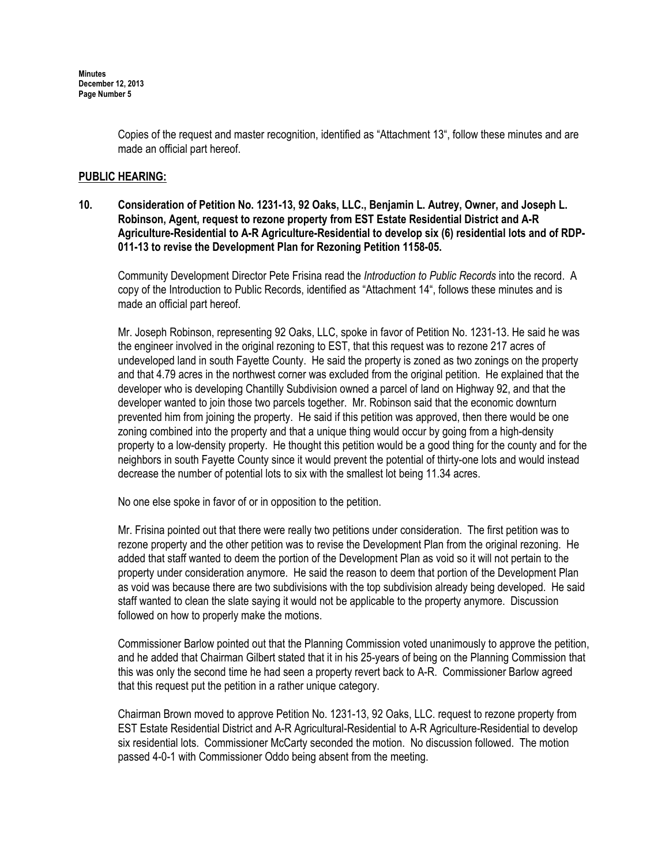Copies of the request and master recognition, identified as "Attachment 13", follow these minutes and are made an official part hereof.

## PUBLIC HEARING:

10. Consideration of Petition No. 1231-13, 92 Oaks, LLC., Benjamin L. Autrey, Owner, and Joseph L. Robinson, Agent, request to rezone property from EST Estate Residential District and A-R Agriculture-Residential to A-R Agriculture-Residential to develop six (6) residential lots and of RDP-011-13 to revise the Development Plan for Rezoning Petition 1158-05.

Community Development Director Pete Frisina read the Introduction to Public Records into the record. A copy of the Introduction to Public Records, identified as "Attachment 14", follows these minutes and is made an official part hereof.

Mr. Joseph Robinson, representing 92 Oaks, LLC, spoke in favor of Petition No. 1231-13. He said he was the engineer involved in the original rezoning to EST, that this request was to rezone 217 acres of undeveloped land in south Fayette County. He said the property is zoned as two zonings on the property and that 4.79 acres in the northwest corner was excluded from the original petition. He explained that the developer who is developing Chantilly Subdivision owned a parcel of land on Highway 92, and that the developer wanted to join those two parcels together. Mr. Robinson said that the economic downturn prevented him from joining the property. He said if this petition was approved, then there would be one zoning combined into the property and that a unique thing would occur by going from a high-density property to a low-density property. He thought this petition would be a good thing for the county and for the neighbors in south Fayette County since it would prevent the potential of thirty-one lots and would instead decrease the number of potential lots to six with the smallest lot being 11.34 acres.

No one else spoke in favor of or in opposition to the petition.

Mr. Frisina pointed out that there were really two petitions under consideration. The first petition was to rezone property and the other petition was to revise the Development Plan from the original rezoning. He added that staff wanted to deem the portion of the Development Plan as void so it will not pertain to the property under consideration anymore. He said the reason to deem that portion of the Development Plan as void was because there are two subdivisions with the top subdivision already being developed. He said staff wanted to clean the slate saying it would not be applicable to the property anymore. Discussion followed on how to properly make the motions.

Commissioner Barlow pointed out that the Planning Commission voted unanimously to approve the petition, and he added that Chairman Gilbert stated that it in his 25-years of being on the Planning Commission that this was only the second time he had seen a property revert back to A-R. Commissioner Barlow agreed that this request put the petition in a rather unique category.

Chairman Brown moved to approve Petition No. 1231-13, 92 Oaks, LLC. request to rezone property from EST Estate Residential District and A-R Agricultural-Residential to A-R Agriculture-Residential to develop six residential lots. Commissioner McCarty seconded the motion. No discussion followed. The motion passed 4-0-1 with Commissioner Oddo being absent from the meeting.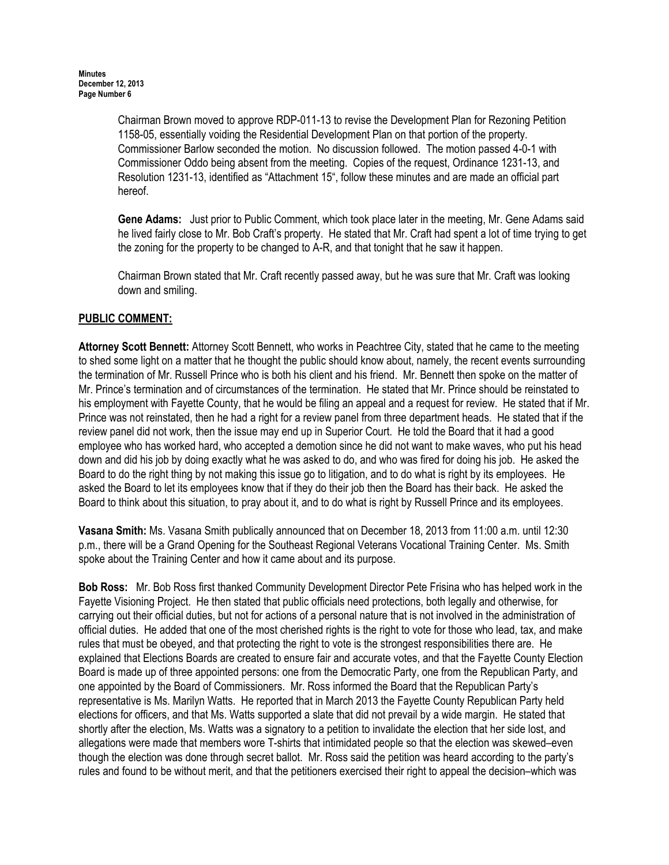Chairman Brown moved to approve RDP-011-13 to revise the Development Plan for Rezoning Petition 1158-05, essentially voiding the Residential Development Plan on that portion of the property. Commissioner Barlow seconded the motion. No discussion followed. The motion passed 4-0-1 with Commissioner Oddo being absent from the meeting. Copies of the request, Ordinance 1231-13, and Resolution 1231-13, identified as "Attachment 15", follow these minutes and are made an official part hereof.

Gene Adams: Just prior to Public Comment, which took place later in the meeting, Mr. Gene Adams said he lived fairly close to Mr. Bob Craft's property. He stated that Mr. Craft had spent a lot of time trying to get the zoning for the property to be changed to A-R, and that tonight that he saw it happen.

Chairman Brown stated that Mr. Craft recently passed away, but he was sure that Mr. Craft was looking down and smiling.

# PUBLIC COMMENT:

Attorney Scott Bennett: Attorney Scott Bennett, who works in Peachtree City, stated that he came to the meeting to shed some light on a matter that he thought the public should know about, namely, the recent events surrounding the termination of Mr. Russell Prince who is both his client and his friend. Mr. Bennett then spoke on the matter of Mr. Prince's termination and of circumstances of the termination. He stated that Mr. Prince should be reinstated to his employment with Fayette County, that he would be filing an appeal and a request for review. He stated that if Mr. Prince was not reinstated, then he had a right for a review panel from three department heads. He stated that if the review panel did not work, then the issue may end up in Superior Court. He told the Board that it had a good employee who has worked hard, who accepted a demotion since he did not want to make waves, who put his head down and did his job by doing exactly what he was asked to do, and who was fired for doing his job. He asked the Board to do the right thing by not making this issue go to litigation, and to do what is right by its employees. He asked the Board to let its employees know that if they do their job then the Board has their back. He asked the Board to think about this situation, to pray about it, and to do what is right by Russell Prince and its employees.

Vasana Smith: Ms. Vasana Smith publically announced that on December 18, 2013 from 11:00 a.m. until 12:30 p.m., there will be a Grand Opening for the Southeast Regional Veterans Vocational Training Center. Ms. Smith spoke about the Training Center and how it came about and its purpose.

Bob Ross: Mr. Bob Ross first thanked Community Development Director Pete Frisina who has helped work in the Fayette Visioning Project. He then stated that public officials need protections, both legally and otherwise, for carrying out their official duties, but not for actions of a personal nature that is not involved in the administration of official duties. He added that one of the most cherished rights is the right to vote for those who lead, tax, and make rules that must be obeyed, and that protecting the right to vote is the strongest responsibilities there are. He explained that Elections Boards are created to ensure fair and accurate votes, and that the Fayette County Election Board is made up of three appointed persons: one from the Democratic Party, one from the Republican Party, and one appointed by the Board of Commissioners. Mr. Ross informed the Board that the Republican Party's representative is Ms. Marilyn Watts. He reported that in March 2013 the Fayette County Republican Party held elections for officers, and that Ms. Watts supported a slate that did not prevail by a wide margin. He stated that shortly after the election, Ms. Watts was a signatory to a petition to invalidate the election that her side lost, and allegations were made that members wore T-shirts that intimidated people so that the election was skewed–even though the election was done through secret ballot. Mr. Ross said the petition was heard according to the party's rules and found to be without merit, and that the petitioners exercised their right to appeal the decision–which was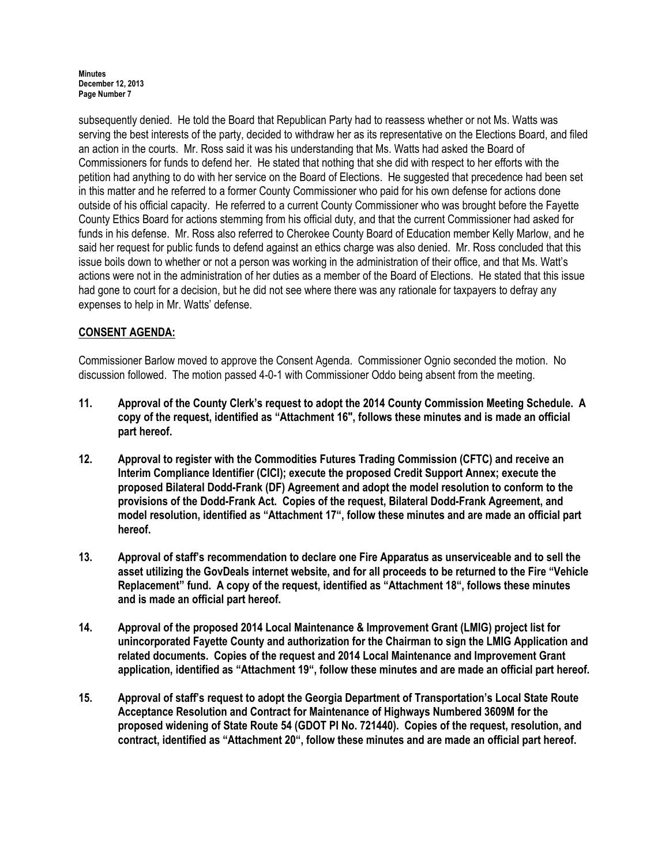subsequently denied. He told the Board that Republican Party had to reassess whether or not Ms. Watts was serving the best interests of the party, decided to withdraw her as its representative on the Elections Board, and filed an action in the courts. Mr. Ross said it was his understanding that Ms. Watts had asked the Board of Commissioners for funds to defend her. He stated that nothing that she did with respect to her efforts with the petition had anything to do with her service on the Board of Elections. He suggested that precedence had been set in this matter and he referred to a former County Commissioner who paid for his own defense for actions done outside of his official capacity. He referred to a current County Commissioner who was brought before the Fayette County Ethics Board for actions stemming from his official duty, and that the current Commissioner had asked for funds in his defense. Mr. Ross also referred to Cherokee County Board of Education member Kelly Marlow, and he said her request for public funds to defend against an ethics charge was also denied. Mr. Ross concluded that this issue boils down to whether or not a person was working in the administration of their office, and that Ms. Watt's actions were not in the administration of her duties as a member of the Board of Elections. He stated that this issue had gone to court for a decision, but he did not see where there was any rationale for taxpayers to defray any expenses to help in Mr. Watts' defense.

# CONSENT AGENDA:

Commissioner Barlow moved to approve the Consent Agenda. Commissioner Ognio seconded the motion. No discussion followed. The motion passed 4-0-1 with Commissioner Oddo being absent from the meeting.

- 11. Approval of the County Clerk's request to adopt the 2014 County Commission Meeting Schedule. A copy of the request, identified as "Attachment 16", follows these minutes and is made an official part hereof.
- 12. Approval to register with the Commodities Futures Trading Commission (CFTC) and receive an Interim Compliance Identifier (CICI); execute the proposed Credit Support Annex; execute the proposed Bilateral Dodd-Frank (DF) Agreement and adopt the model resolution to conform to the provisions of the Dodd-Frank Act. Copies of the request, Bilateral Dodd-Frank Agreement, and model resolution, identified as "Attachment 17", follow these minutes and are made an official part hereof.
- 13. Approval of staff's recommendation to declare one Fire Apparatus as unserviceable and to sell the asset utilizing the GovDeals internet website, and for all proceeds to be returned to the Fire "Vehicle Replacement" fund. A copy of the request, identified as "Attachment 18", follows these minutes and is made an official part hereof.
- 14. Approval of the proposed 2014 Local Maintenance & Improvement Grant (LMIG) project list for unincorporated Fayette County and authorization for the Chairman to sign the LMIG Application and related documents. Copies of the request and 2014 Local Maintenance and Improvement Grant application, identified as "Attachment 19", follow these minutes and are made an official part hereof.
- 15. Approval of staff's request to adopt the Georgia Department of Transportation's Local State Route Acceptance Resolution and Contract for Maintenance of Highways Numbered 3609M for the proposed widening of State Route 54 (GDOT PI No. 721440). Copies of the request, resolution, and contract, identified as "Attachment 20", follow these minutes and are made an official part hereof.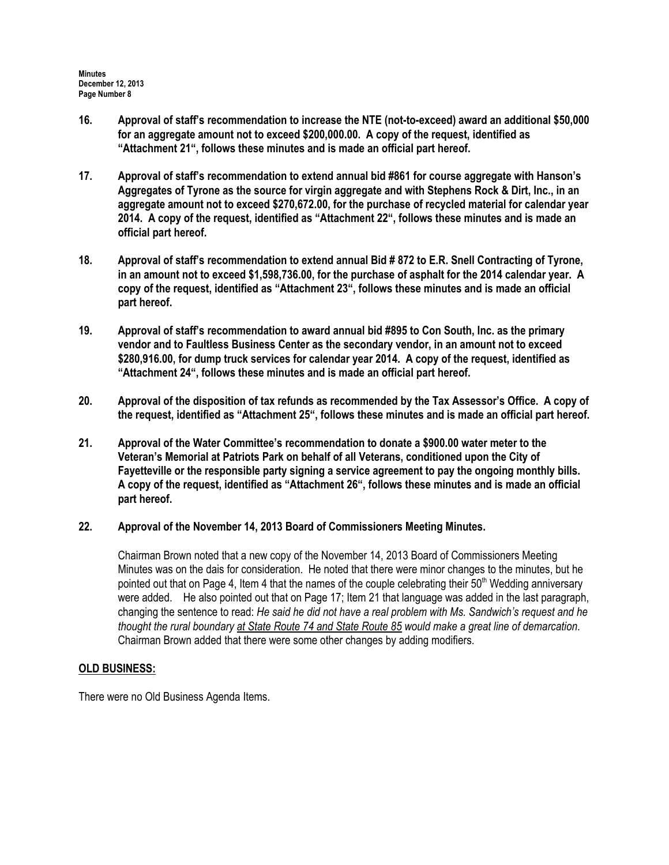- 16. Approval of staff's recommendation to increase the NTE (not-to-exceed) award an additional \$50,000 for an aggregate amount not to exceed \$200,000.00. A copy of the request, identified as "Attachment 21", follows these minutes and is made an official part hereof.
- 17. Approval of staff's recommendation to extend annual bid #861 for course aggregate with Hanson's Aggregates of Tyrone as the source for virgin aggregate and with Stephens Rock & Dirt, Inc., in an aggregate amount not to exceed \$270,672.00, for the purchase of recycled material for calendar year 2014. A copy of the request, identified as "Attachment 22", follows these minutes and is made an official part hereof.
- 18. Approval of staff's recommendation to extend annual Bid # 872 to E.R. Snell Contracting of Tyrone, in an amount not to exceed \$1,598,736.00, for the purchase of asphalt for the 2014 calendar year. A copy of the request, identified as "Attachment 23", follows these minutes and is made an official part hereof.
- 19. Approval of staff's recommendation to award annual bid #895 to Con South, Inc. as the primary vendor and to Faultless Business Center as the secondary vendor, in an amount not to exceed \$280,916.00, for dump truck services for calendar year 2014. A copy of the request, identified as "Attachment 24", follows these minutes and is made an official part hereof.
- 20. Approval of the disposition of tax refunds as recommended by the Tax Assessor's Office. A copy of the request, identified as "Attachment 25", follows these minutes and is made an official part hereof.
- 21. Approval of the Water Committee's recommendation to donate a \$900.00 water meter to the Veteran's Memorial at Patriots Park on behalf of all Veterans, conditioned upon the City of Fayetteville or the responsible party signing a service agreement to pay the ongoing monthly bills. A copy of the request, identified as "Attachment 26", follows these minutes and is made an official part hereof.
- 22. Approval of the November 14, 2013 Board of Commissioners Meeting Minutes.

Chairman Brown noted that a new copy of the November 14, 2013 Board of Commissioners Meeting Minutes was on the dais for consideration. He noted that there were minor changes to the minutes, but he pointed out that on Page 4, Item 4 that the names of the couple celebrating their 50<sup>th</sup> Wedding anniversary were added. He also pointed out that on Page 17; Item 21 that language was added in the last paragraph, changing the sentence to read: He said he did not have a real problem with Ms. Sandwich's request and he thought the rural boundary at State Route 74 and State Route 85 would make a great line of demarcation. Chairman Brown added that there were some other changes by adding modifiers.

# OLD BUSINESS:

There were no Old Business Agenda Items.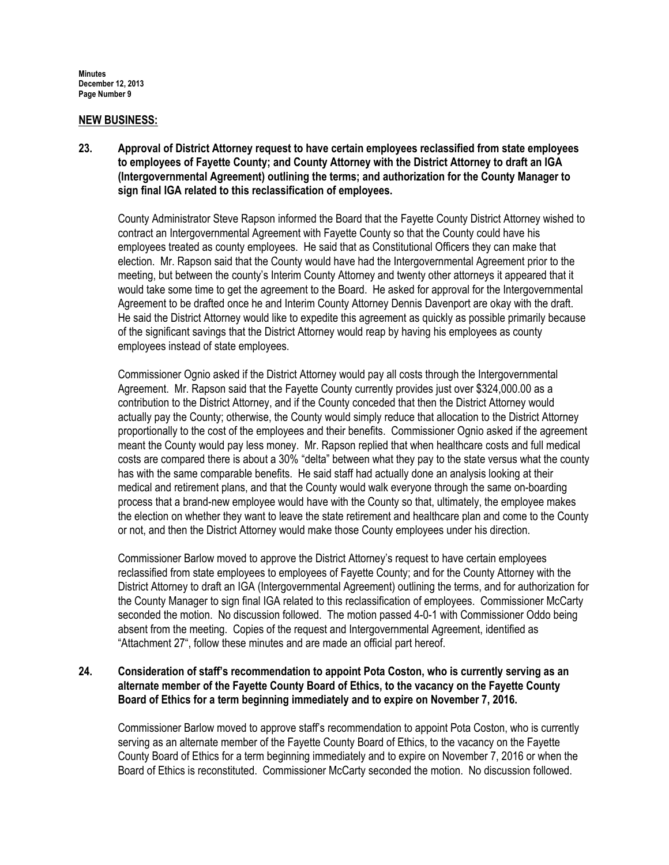### NEW BUSINESS:

23. Approval of District Attorney request to have certain employees reclassified from state employees to employees of Fayette County; and County Attorney with the District Attorney to draft an IGA (Intergovernmental Agreement) outlining the terms; and authorization for the County Manager to sign final IGA related to this reclassification of employees.

County Administrator Steve Rapson informed the Board that the Fayette County District Attorney wished to contract an Intergovernmental Agreement with Fayette County so that the County could have his employees treated as county employees. He said that as Constitutional Officers they can make that election. Mr. Rapson said that the County would have had the Intergovernmental Agreement prior to the meeting, but between the county's Interim County Attorney and twenty other attorneys it appeared that it would take some time to get the agreement to the Board. He asked for approval for the Intergovernmental Agreement to be drafted once he and Interim County Attorney Dennis Davenport are okay with the draft. He said the District Attorney would like to expedite this agreement as quickly as possible primarily because of the significant savings that the District Attorney would reap by having his employees as county employees instead of state employees.

Commissioner Ognio asked if the District Attorney would pay all costs through the Intergovernmental Agreement. Mr. Rapson said that the Fayette County currently provides just over \$324,000.00 as a contribution to the District Attorney, and if the County conceded that then the District Attorney would actually pay the County; otherwise, the County would simply reduce that allocation to the District Attorney proportionally to the cost of the employees and their benefits. Commissioner Ognio asked if the agreement meant the County would pay less money. Mr. Rapson replied that when healthcare costs and full medical costs are compared there is about a 30% "delta" between what they pay to the state versus what the county has with the same comparable benefits. He said staff had actually done an analysis looking at their medical and retirement plans, and that the County would walk everyone through the same on-boarding process that a brand-new employee would have with the County so that, ultimately, the employee makes the election on whether they want to leave the state retirement and healthcare plan and come to the County or not, and then the District Attorney would make those County employees under his direction.

Commissioner Barlow moved to approve the District Attorney's request to have certain employees reclassified from state employees to employees of Fayette County; and for the County Attorney with the District Attorney to draft an IGA (Intergovernmental Agreement) outlining the terms, and for authorization for the County Manager to sign final IGA related to this reclassification of employees. Commissioner McCarty seconded the motion. No discussion followed. The motion passed 4-0-1 with Commissioner Oddo being absent from the meeting. Copies of the request and Intergovernmental Agreement, identified as "Attachment 27", follow these minutes and are made an official part hereof.

# 24. Consideration of staff's recommendation to appoint Pota Coston, who is currently serving as an alternate member of the Fayette County Board of Ethics, to the vacancy on the Fayette County Board of Ethics for a term beginning immediately and to expire on November 7, 2016.

Commissioner Barlow moved to approve staff's recommendation to appoint Pota Coston, who is currently serving as an alternate member of the Fayette County Board of Ethics, to the vacancy on the Fayette County Board of Ethics for a term beginning immediately and to expire on November 7, 2016 or when the Board of Ethics is reconstituted. Commissioner McCarty seconded the motion. No discussion followed.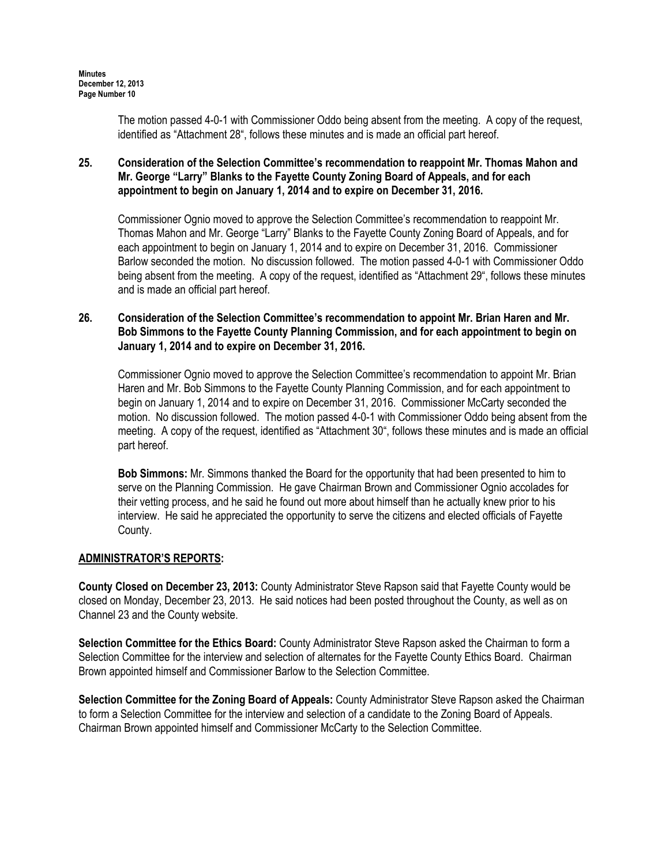The motion passed 4-0-1 with Commissioner Oddo being absent from the meeting. A copy of the request, identified as "Attachment 28", follows these minutes and is made an official part hereof.

# 25. Consideration of the Selection Committee's recommendation to reappoint Mr. Thomas Mahon and Mr. George "Larry" Blanks to the Fayette County Zoning Board of Appeals, and for each appointment to begin on January 1, 2014 and to expire on December 31, 2016.

Commissioner Ognio moved to approve the Selection Committee's recommendation to reappoint Mr. Thomas Mahon and Mr. George "Larry" Blanks to the Fayette County Zoning Board of Appeals, and for each appointment to begin on January 1, 2014 and to expire on December 31, 2016. Commissioner Barlow seconded the motion. No discussion followed. The motion passed 4-0-1 with Commissioner Oddo being absent from the meeting. A copy of the request, identified as "Attachment 29", follows these minutes and is made an official part hereof.

# 26. Consideration of the Selection Committee's recommendation to appoint Mr. Brian Haren and Mr. Bob Simmons to the Fayette County Planning Commission, and for each appointment to begin on January 1, 2014 and to expire on December 31, 2016.

Commissioner Ognio moved to approve the Selection Committee's recommendation to appoint Mr. Brian Haren and Mr. Bob Simmons to the Fayette County Planning Commission, and for each appointment to begin on January 1, 2014 and to expire on December 31, 2016. Commissioner McCarty seconded the motion. No discussion followed. The motion passed 4-0-1 with Commissioner Oddo being absent from the meeting. A copy of the request, identified as "Attachment 30", follows these minutes and is made an official part hereof.

Bob Simmons: Mr. Simmons thanked the Board for the opportunity that had been presented to him to serve on the Planning Commission. He gave Chairman Brown and Commissioner Ognio accolades for their vetting process, and he said he found out more about himself than he actually knew prior to his interview. He said he appreciated the opportunity to serve the citizens and elected officials of Fayette County.

# ADMINISTRATOR'S REPORTS:

County Closed on December 23, 2013: County Administrator Steve Rapson said that Fayette County would be closed on Monday, December 23, 2013. He said notices had been posted throughout the County, as well as on Channel 23 and the County website.

Selection Committee for the Ethics Board: County Administrator Steve Rapson asked the Chairman to form a Selection Committee for the interview and selection of alternates for the Fayette County Ethics Board. Chairman Brown appointed himself and Commissioner Barlow to the Selection Committee.

Selection Committee for the Zoning Board of Appeals: County Administrator Steve Rapson asked the Chairman to form a Selection Committee for the interview and selection of a candidate to the Zoning Board of Appeals. Chairman Brown appointed himself and Commissioner McCarty to the Selection Committee.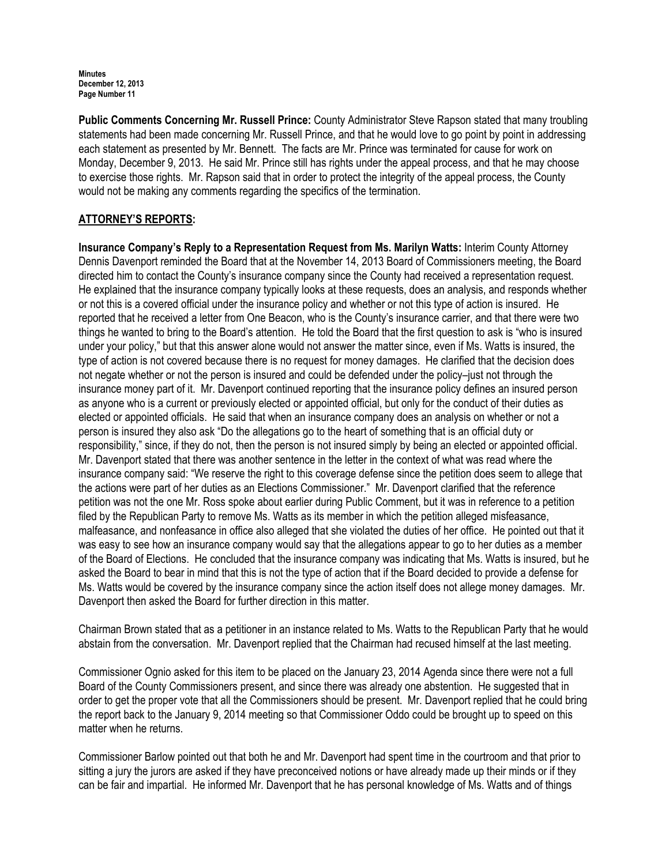Public Comments Concerning Mr. Russell Prince: County Administrator Steve Rapson stated that many troubling statements had been made concerning Mr. Russell Prince, and that he would love to go point by point in addressing each statement as presented by Mr. Bennett. The facts are Mr. Prince was terminated for cause for work on Monday, December 9, 2013. He said Mr. Prince still has rights under the appeal process, and that he may choose to exercise those rights. Mr. Rapson said that in order to protect the integrity of the appeal process, the County would not be making any comments regarding the specifics of the termination.

# ATTORNEY'S REPORTS:

Insurance Company's Reply to a Representation Request from Ms. Marilyn Watts: Interim County Attorney Dennis Davenport reminded the Board that at the November 14, 2013 Board of Commissioners meeting, the Board directed him to contact the County's insurance company since the County had received a representation request. He explained that the insurance company typically looks at these requests, does an analysis, and responds whether or not this is a covered official under the insurance policy and whether or not this type of action is insured. He reported that he received a letter from One Beacon, who is the County's insurance carrier, and that there were two things he wanted to bring to the Board's attention. He told the Board that the first question to ask is "who is insured under your policy," but that this answer alone would not answer the matter since, even if Ms. Watts is insured, the type of action is not covered because there is no request for money damages. He clarified that the decision does not negate whether or not the person is insured and could be defended under the policy–just not through the insurance money part of it. Mr. Davenport continued reporting that the insurance policy defines an insured person as anyone who is a current or previously elected or appointed official, but only for the conduct of their duties as elected or appointed officials. He said that when an insurance company does an analysis on whether or not a person is insured they also ask "Do the allegations go to the heart of something that is an official duty or responsibility," since, if they do not, then the person is not insured simply by being an elected or appointed official. Mr. Davenport stated that there was another sentence in the letter in the context of what was read where the insurance company said: "We reserve the right to this coverage defense since the petition does seem to allege that the actions were part of her duties as an Elections Commissioner." Mr. Davenport clarified that the reference petition was not the one Mr. Ross spoke about earlier during Public Comment, but it was in reference to a petition filed by the Republican Party to remove Ms. Watts as its member in which the petition alleged misfeasance, malfeasance, and nonfeasance in office also alleged that she violated the duties of her office. He pointed out that it was easy to see how an insurance company would say that the allegations appear to go to her duties as a member of the Board of Elections. He concluded that the insurance company was indicating that Ms. Watts is insured, but he asked the Board to bear in mind that this is not the type of action that if the Board decided to provide a defense for Ms. Watts would be covered by the insurance company since the action itself does not allege money damages. Mr. Davenport then asked the Board for further direction in this matter.

Chairman Brown stated that as a petitioner in an instance related to Ms. Watts to the Republican Party that he would abstain from the conversation. Mr. Davenport replied that the Chairman had recused himself at the last meeting.

Commissioner Ognio asked for this item to be placed on the January 23, 2014 Agenda since there were not a full Board of the County Commissioners present, and since there was already one abstention. He suggested that in order to get the proper vote that all the Commissioners should be present. Mr. Davenport replied that he could bring the report back to the January 9, 2014 meeting so that Commissioner Oddo could be brought up to speed on this matter when he returns.

Commissioner Barlow pointed out that both he and Mr. Davenport had spent time in the courtroom and that prior to sitting a jury the jurors are asked if they have preconceived notions or have already made up their minds or if they can be fair and impartial. He informed Mr. Davenport that he has personal knowledge of Ms. Watts and of things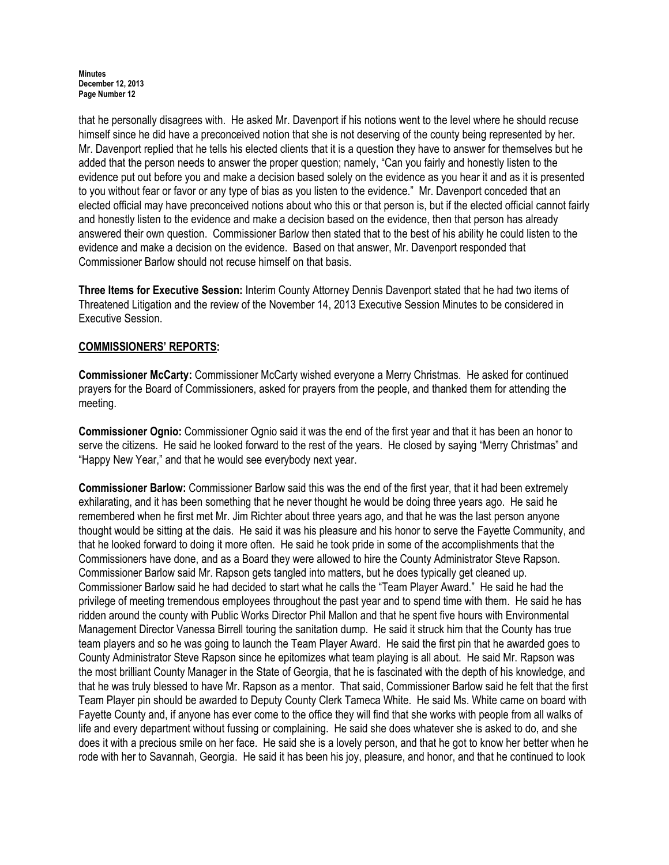that he personally disagrees with. He asked Mr. Davenport if his notions went to the level where he should recuse himself since he did have a preconceived notion that she is not deserving of the county being represented by her. Mr. Davenport replied that he tells his elected clients that it is a question they have to answer for themselves but he added that the person needs to answer the proper question; namely, "Can you fairly and honestly listen to the evidence put out before you and make a decision based solely on the evidence as you hear it and as it is presented to you without fear or favor or any type of bias as you listen to the evidence." Mr. Davenport conceded that an elected official may have preconceived notions about who this or that person is, but if the elected official cannot fairly and honestly listen to the evidence and make a decision based on the evidence, then that person has already answered their own question. Commissioner Barlow then stated that to the best of his ability he could listen to the evidence and make a decision on the evidence. Based on that answer, Mr. Davenport responded that Commissioner Barlow should not recuse himself on that basis.

Three Items for Executive Session: Interim County Attorney Dennis Davenport stated that he had two items of Threatened Litigation and the review of the November 14, 2013 Executive Session Minutes to be considered in Executive Session.

# COMMISSIONERS' REPORTS:

Commissioner McCarty: Commissioner McCarty wished everyone a Merry Christmas. He asked for continued prayers for the Board of Commissioners, asked for prayers from the people, and thanked them for attending the meeting.

Commissioner Ognio: Commissioner Ognio said it was the end of the first year and that it has been an honor to serve the citizens. He said he looked forward to the rest of the years. He closed by saying "Merry Christmas" and "Happy New Year," and that he would see everybody next year.

Commissioner Barlow: Commissioner Barlow said this was the end of the first year, that it had been extremely exhilarating, and it has been something that he never thought he would be doing three years ago. He said he remembered when he first met Mr. Jim Richter about three years ago, and that he was the last person anyone thought would be sitting at the dais. He said it was his pleasure and his honor to serve the Fayette Community, and that he looked forward to doing it more often. He said he took pride in some of the accomplishments that the Commissioners have done, and as a Board they were allowed to hire the County Administrator Steve Rapson. Commissioner Barlow said Mr. Rapson gets tangled into matters, but he does typically get cleaned up. Commissioner Barlow said he had decided to start what he calls the "Team Player Award." He said he had the privilege of meeting tremendous employees throughout the past year and to spend time with them. He said he has ridden around the county with Public Works Director Phil Mallon and that he spent five hours with Environmental Management Director Vanessa Birrell touring the sanitation dump. He said it struck him that the County has true team players and so he was going to launch the Team Player Award. He said the first pin that he awarded goes to County Administrator Steve Rapson since he epitomizes what team playing is all about. He said Mr. Rapson was the most brilliant County Manager in the State of Georgia, that he is fascinated with the depth of his knowledge, and that he was truly blessed to have Mr. Rapson as a mentor. That said, Commissioner Barlow said he felt that the first Team Player pin should be awarded to Deputy County Clerk Tameca White. He said Ms. White came on board with Fayette County and, if anyone has ever come to the office they will find that she works with people from all walks of life and every department without fussing or complaining. He said she does whatever she is asked to do, and she does it with a precious smile on her face. He said she is a lovely person, and that he got to know her better when he rode with her to Savannah, Georgia. He said it has been his joy, pleasure, and honor, and that he continued to look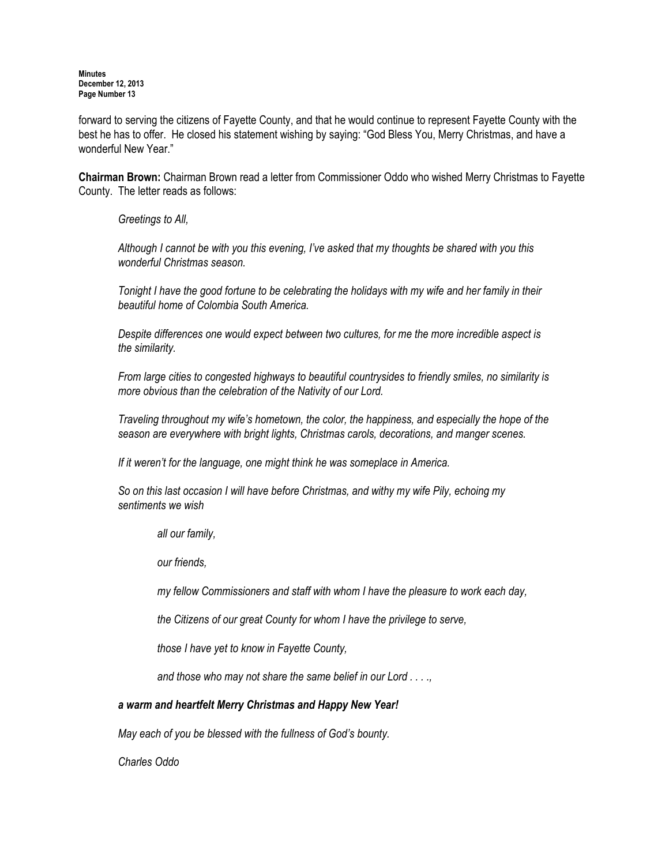forward to serving the citizens of Fayette County, and that he would continue to represent Fayette County with the best he has to offer. He closed his statement wishing by saying: "God Bless You, Merry Christmas, and have a wonderful New Year."

Chairman Brown: Chairman Brown read a letter from Commissioner Oddo who wished Merry Christmas to Fayette County. The letter reads as follows:

Greetings to All,

Although I cannot be with you this evening, I've asked that my thoughts be shared with you this wonderful Christmas season.

Tonight I have the good fortune to be celebrating the holidays with my wife and her family in their beautiful home of Colombia South America.

Despite differences one would expect between two cultures, for me the more incredible aspect is the similarity.

From large cities to congested highways to beautiful countrysides to friendly smiles, no similarity is more obvious than the celebration of the Nativity of our Lord.

Traveling throughout my wife's hometown, the color, the happiness, and especially the hope of the season are everywhere with bright lights, Christmas carols, decorations, and manger scenes.

If it weren't for the language, one might think he was someplace in America.

So on this last occasion I will have before Christmas, and withy my wife Pily, echoing my sentiments we wish

all our family,

our friends,

my fellow Commissioners and staff with whom I have the pleasure to work each day,

the Citizens of our great County for whom I have the privilege to serve,

those I have yet to know in Fayette County,

and those who may not share the same belief in our Lord . . . .,

## a warm and heartfelt Merry Christmas and Happy New Year!

May each of you be blessed with the fullness of God's bounty.

Charles Oddo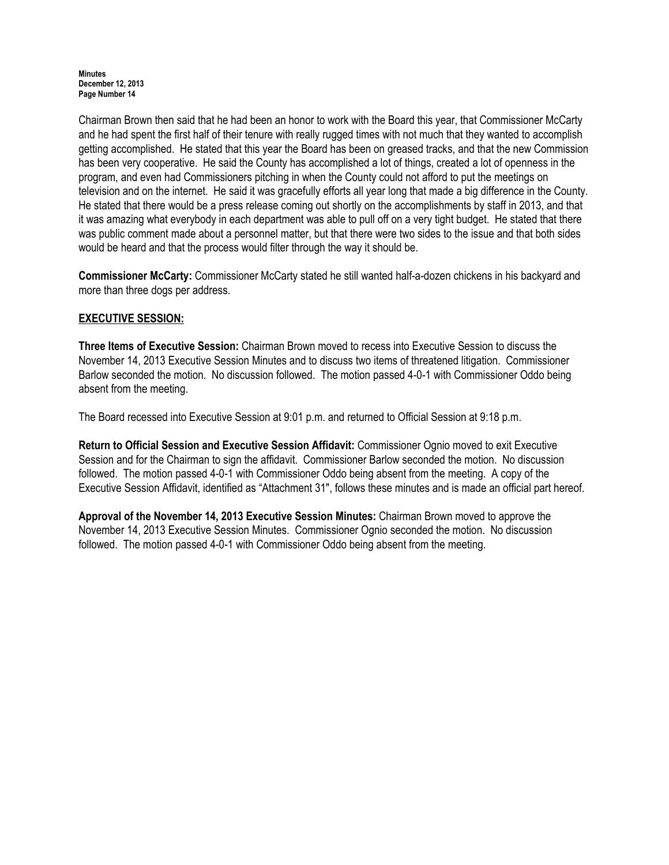Chairman Brown then said that he had been an honor to work with the Board this year, that Commissioner McCarty and he had spent the first half of their tenure with really rugged times with not much that they wanted to accomplish getting accomplished. He stated that this year the Board has been on greased tracks, and that the new Commission has been very cooperative. He said the County has accomplished a lot of things, created a lot of openness in the program, and even had Commissioners pitching in when the County could not afford to put the meetings on television and on the internet. He said it was gracefully efforts all year long that made a big difference in the County. He stated that there would be a press release coming out shortly on the accomplishments by staff in 2013, and that it was amazing what everybody in each department was able to pull off on a very tight budget. He stated that there was public comment made about a personnel matter, but that there were two sides to the issue and that both sides would be heard and that the process would filter through the way it should be.

Commissioner McCarty: Commissioner McCarty stated he still wanted half-a-dozen chickens in his backyard and more than three dogs per address.

# EXECUTIVE SESSION:

Three Items of Executive Session: Chairman Brown moved to recess into Executive Session to discuss the November 14, 2013 Executive Session Minutes and to discuss two items of threatened litigation. Commissioner Barlow seconded the motion. No discussion followed. The motion passed 4-0-1 with Commissioner Oddo being absent from the meeting.

The Board recessed into Executive Session at 9:01 p.m. and returned to Official Session at 9:18 p.m.

Return to Official Session and Executive Session Affidavit: Commissioner Ognio moved to exit Executive Session and for the Chairman to sign the affidavit. Commissioner Barlow seconded the motion. No discussion followed. The motion passed 4-0-1 with Commissioner Oddo being absent from the meeting. A copy of the Executive Session Affidavit, identified as "Attachment 31", follows these minutes and is made an official part hereof.

Approval of the November 14, 2013 Executive Session Minutes: Chairman Brown moved to approve the November 14, 2013 Executive Session Minutes. Commissioner Ognio seconded the motion. No discussion followed. The motion passed 4-0-1 with Commissioner Oddo being absent from the meeting.